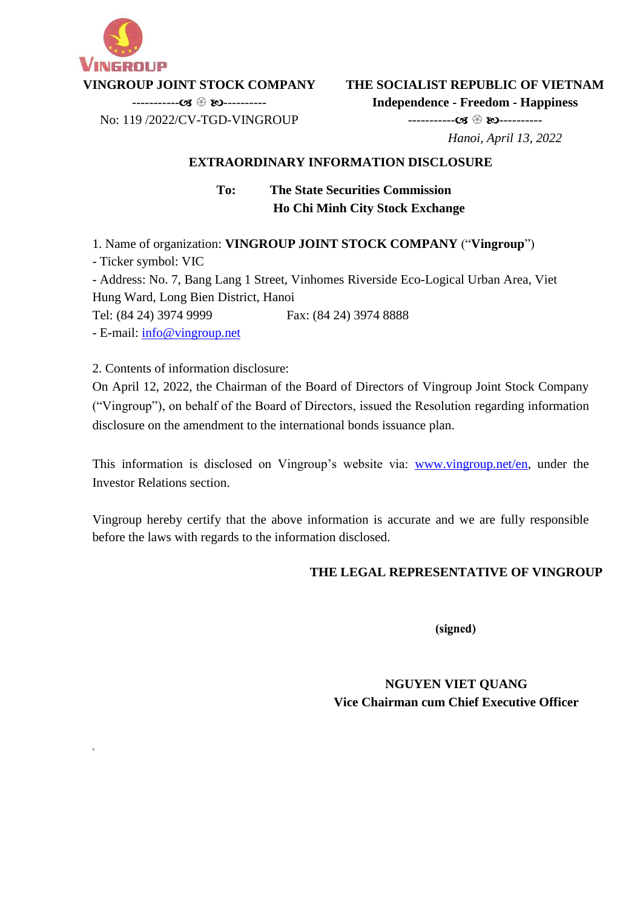

**THE SOCIALIST REPUBLIC OF VIETNAM**

**Independence - Freedom - Happiness** ----------- ----------

 $---------CZ \$ No: 119 /2022/CV-TGD-VINGROUP

 *Hanoi, April 13, 2022*

## **EXTRAORDINARY INFORMATION DISCLOSURE**

**To: The State Securities Commission Ho Chi Minh City Stock Exchange**

1. Name of organization: **VINGROUP JOINT STOCK COMPANY** ("**Vingroup**")

- Ticker symbol: VIC

s

- Address: No. 7, Bang Lang 1 Street, Vinhomes Riverside Eco-Logical Urban Area, Viet Hung Ward, Long Bien District, Hanoi

Tel: (84 24) 3974 9999 Fax: (84 24) 3974 8888

- E-mail: [info@vingroup.net](mailto:info@vingroup.net)

2. Contents of information disclosure:

On April 12, 2022, the Chairman of the Board of Directors of Vingroup Joint Stock Company ("Vingroup"), on behalf of the Board of Directors, issued the Resolution regarding information disclosure on the amendment to the international bonds issuance plan.

This information is disclosed on Vingroup's website via: [www.vingroup.net/en](https://www.vingroup.net/en)*,* under the Investor Relations section.

Vingroup hereby certify that the above information is accurate and we are fully responsible before the laws with regards to the information disclosed.

### **THE LEGAL REPRESENTATIVE OF VINGROUP**

(signed)

**NGUYEN VIET QUANG Vice Chairman cum Chief Executive Officer**